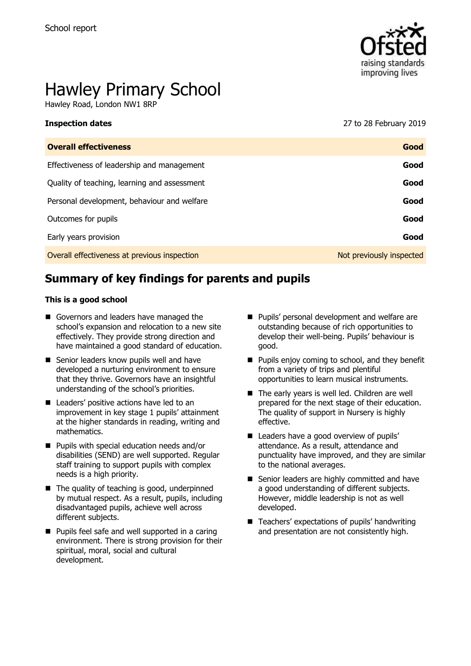

# Hawley Primary School

Hawley Road, London NW1 8RP

**Inspection dates** 27 to 28 February 2019

| <b>Overall effectiveness</b>                 | Good                     |
|----------------------------------------------|--------------------------|
| Effectiveness of leadership and management   | Good                     |
| Quality of teaching, learning and assessment | Good                     |
| Personal development, behaviour and welfare  | Good                     |
| Outcomes for pupils                          | Good                     |
| Early years provision                        | Good                     |
| Overall effectiveness at previous inspection | Not previously inspected |

# **Summary of key findings for parents and pupils**

#### **This is a good school**

- Governors and leaders have managed the school's expansion and relocation to a new site effectively. They provide strong direction and have maintained a good standard of education.
- Senior leaders know pupils well and have developed a nurturing environment to ensure that they thrive. Governors have an insightful understanding of the school's priorities.
- Leaders' positive actions have led to an improvement in key stage 1 pupils' attainment at the higher standards in reading, writing and mathematics.
- **Pupils with special education needs and/or** disabilities (SEND) are well supported. Regular staff training to support pupils with complex needs is a high priority.
- $\blacksquare$  The quality of teaching is good, underpinned by mutual respect. As a result, pupils, including disadvantaged pupils, achieve well across different subjects.
- **Pupils feel safe and well supported in a caring** environment. There is strong provision for their spiritual, moral, social and cultural development.
- **Pupils' personal development and welfare are** outstanding because of rich opportunities to develop their well-being. Pupils' behaviour is good.
- $\blacksquare$  Pupils enjoy coming to school, and they benefit from a variety of trips and plentiful opportunities to learn musical instruments.
- The early years is well led. Children are well prepared for the next stage of their education. The quality of support in Nursery is highly effective.
- Leaders have a good overview of pupils' attendance. As a result, attendance and punctuality have improved, and they are similar to the national averages.
- Senior leaders are highly committed and have a good understanding of different subjects. However, middle leadership is not as well developed.
- $\blacksquare$  Teachers' expectations of pupils' handwriting and presentation are not consistently high.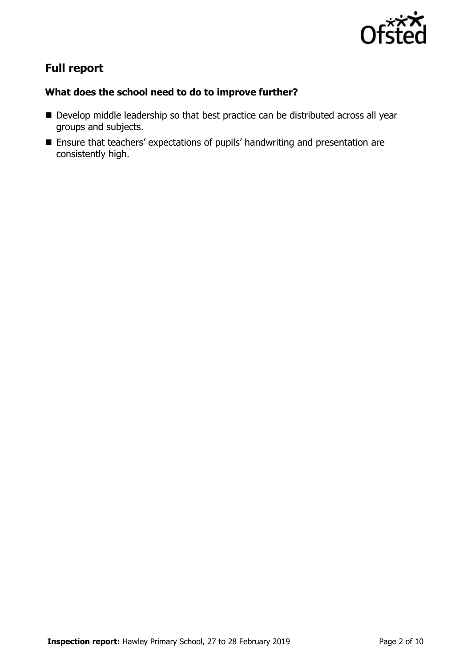

# **Full report**

### **What does the school need to do to improve further?**

- Develop middle leadership so that best practice can be distributed across all year groups and subjects.
- Ensure that teachers' expectations of pupils' handwriting and presentation are consistently high.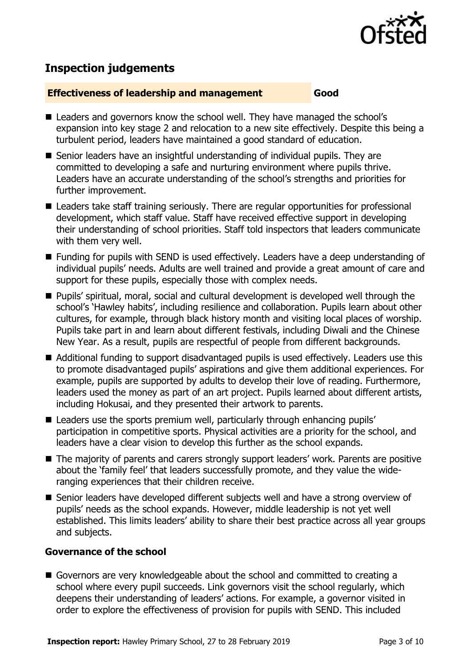

# **Inspection judgements**

#### **Effectiveness of leadership and management Good**

- Leaders and governors know the school well. They have managed the school's expansion into key stage 2 and relocation to a new site effectively. Despite this being a turbulent period, leaders have maintained a good standard of education.
- Senior leaders have an insightful understanding of individual pupils. They are committed to developing a safe and nurturing environment where pupils thrive. Leaders have an accurate understanding of the school's strengths and priorities for further improvement.
- Leaders take staff training seriously. There are regular opportunities for professional development, which staff value. Staff have received effective support in developing their understanding of school priorities. Staff told inspectors that leaders communicate with them very well.
- Funding for pupils with SEND is used effectively. Leaders have a deep understanding of individual pupils' needs. Adults are well trained and provide a great amount of care and support for these pupils, especially those with complex needs.
- Pupils' spiritual, moral, social and cultural development is developed well through the school's 'Hawley habits', including resilience and collaboration. Pupils learn about other cultures, for example, through black history month and visiting local places of worship. Pupils take part in and learn about different festivals, including Diwali and the Chinese New Year. As a result, pupils are respectful of people from different backgrounds.
- Additional funding to support disadvantaged pupils is used effectively. Leaders use this to promote disadvantaged pupils' aspirations and give them additional experiences. For example, pupils are supported by adults to develop their love of reading. Furthermore, leaders used the money as part of an art project. Pupils learned about different artists, including Hokusai, and they presented their artwork to parents.
- Leaders use the sports premium well, particularly through enhancing pupils' participation in competitive sports. Physical activities are a priority for the school, and leaders have a clear vision to develop this further as the school expands.
- The majority of parents and carers strongly support leaders' work. Parents are positive about the 'family feel' that leaders successfully promote, and they value the wideranging experiences that their children receive.
- Senior leaders have developed different subjects well and have a strong overview of pupils' needs as the school expands. However, middle leadership is not yet well established. This limits leaders' ability to share their best practice across all year groups and subjects.

### **Governance of the school**

Governors are very knowledgeable about the school and committed to creating a school where every pupil succeeds. Link governors visit the school regularly, which deepens their understanding of leaders' actions. For example, a governor visited in order to explore the effectiveness of provision for pupils with SEND. This included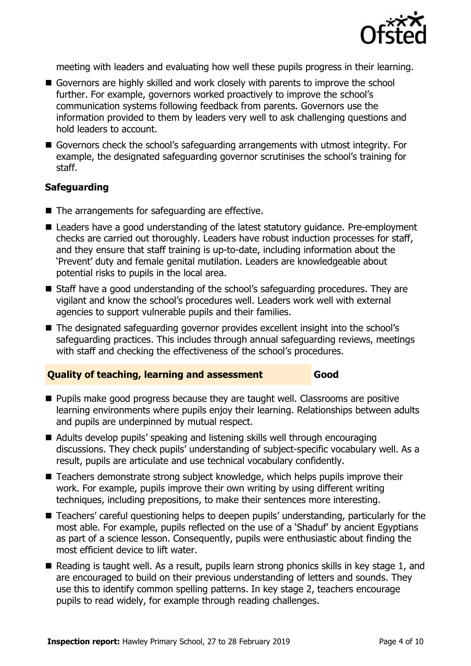

meeting with leaders and evaluating how well these pupils progress in their learning.

- Governors are highly skilled and work closely with parents to improve the school further. For example, governors worked proactively to improve the school's communication systems following feedback from parents. Governors use the information provided to them by leaders very well to ask challenging questions and hold leaders to account.
- Governors check the school's safeguarding arrangements with utmost integrity. For example, the designated safeguarding governor scrutinises the school's training for staff.

#### **Safeguarding**

- The arrangements for safeguarding are effective.
- Leaders have a good understanding of the latest statutory guidance. Pre-employment checks are carried out thoroughly. Leaders have robust induction processes for staff, and they ensure that staff training is up-to-date, including information about the 'Prevent' duty and female genital mutilation. Leaders are knowledgeable about potential risks to pupils in the local area.
- Staff have a good understanding of the school's safeguarding procedures. They are vigilant and know the school's procedures well. Leaders work well with external agencies to support vulnerable pupils and their families.
- The designated safeguarding governor provides excellent insight into the school's safeguarding practices. This includes through annual safeguarding reviews, meetings with staff and checking the effectiveness of the school's procedures.

#### **Quality of teaching, learning and assessment Good**

- **Pupils make good progress because they are taught well. Classrooms are positive** learning environments where pupils enjoy their learning. Relationships between adults and pupils are underpinned by mutual respect.
- Adults develop pupils' speaking and listening skills well through encouraging discussions. They check pupils' understanding of subject-specific vocabulary well. As a result, pupils are articulate and use technical vocabulary confidently.
- Teachers demonstrate strong subject knowledge, which helps pupils improve their work. For example, pupils improve their own writing by using different writing techniques, including prepositions, to make their sentences more interesting.
- Teachers' careful questioning helps to deepen pupils' understanding, particularly for the most able. For example, pupils reflected on the use of a 'Shaduf' by ancient Egyptians as part of a science lesson. Consequently, pupils were enthusiastic about finding the most efficient device to lift water.
- Reading is taught well. As a result, pupils learn strong phonics skills in key stage 1, and are encouraged to build on their previous understanding of letters and sounds. They use this to identify common spelling patterns. In key stage 2, teachers encourage pupils to read widely, for example through reading challenges.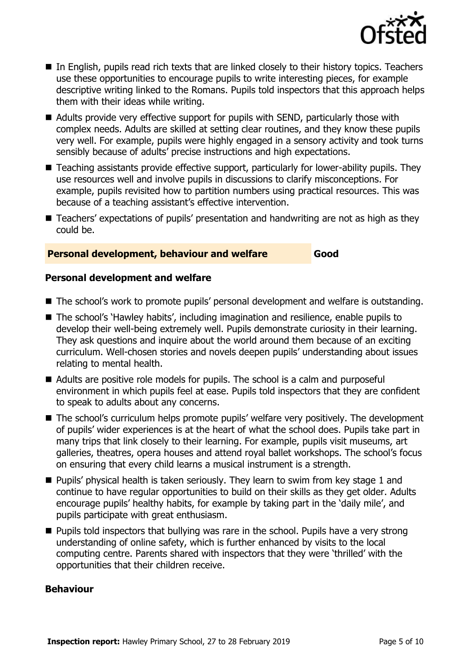

- In English, pupils read rich texts that are linked closely to their history topics. Teachers use these opportunities to encourage pupils to write interesting pieces, for example descriptive writing linked to the Romans. Pupils told inspectors that this approach helps them with their ideas while writing.
- Adults provide very effective support for pupils with SEND, particularly those with complex needs. Adults are skilled at setting clear routines, and they know these pupils very well. For example, pupils were highly engaged in a sensory activity and took turns sensibly because of adults' precise instructions and high expectations.
- Teaching assistants provide effective support, particularly for lower-ability pupils. They use resources well and involve pupils in discussions to clarify misconceptions. For example, pupils revisited how to partition numbers using practical resources. This was because of a teaching assistant's effective intervention.
- Teachers' expectations of pupils' presentation and handwriting are not as high as they could be.

### **Personal development, behaviour and welfare Good**

#### **Personal development and welfare**

- The school's work to promote pupils' personal development and welfare is outstanding.
- The school's 'Hawley habits', including imagination and resilience, enable pupils to develop their well-being extremely well. Pupils demonstrate curiosity in their learning. They ask questions and inquire about the world around them because of an exciting curriculum. Well-chosen stories and novels deepen pupils' understanding about issues relating to mental health.
- Adults are positive role models for pupils. The school is a calm and purposeful environment in which pupils feel at ease. Pupils told inspectors that they are confident to speak to adults about any concerns.
- The school's curriculum helps promote pupils' welfare very positively. The development of pupils' wider experiences is at the heart of what the school does. Pupils take part in many trips that link closely to their learning. For example, pupils visit museums, art galleries, theatres, opera houses and attend royal ballet workshops. The school's focus on ensuring that every child learns a musical instrument is a strength.
- **Pupils'** physical health is taken seriously. They learn to swim from key stage 1 and continue to have regular opportunities to build on their skills as they get older. Adults encourage pupils' healthy habits, for example by taking part in the 'daily mile', and pupils participate with great enthusiasm.
- **Pupils told inspectors that bullying was rare in the school. Pupils have a very strong** understanding of online safety, which is further enhanced by visits to the local computing centre. Parents shared with inspectors that they were 'thrilled' with the opportunities that their children receive.

#### **Behaviour**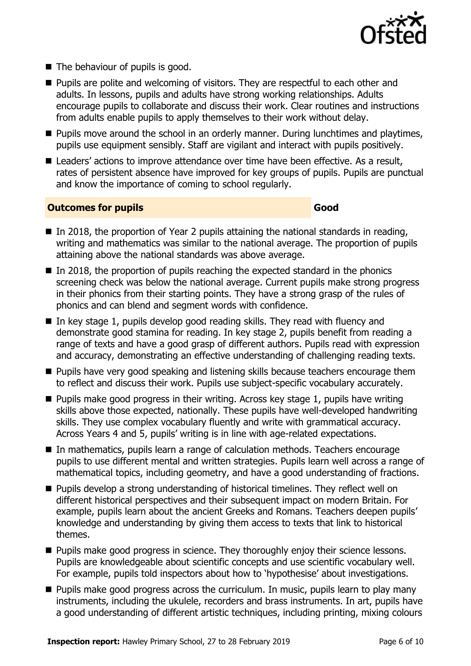

- The behaviour of pupils is good.
- **Pupils are polite and welcoming of visitors. They are respectful to each other and** adults. In lessons, pupils and adults have strong working relationships. Adults encourage pupils to collaborate and discuss their work. Clear routines and instructions from adults enable pupils to apply themselves to their work without delay.
- **Pupils move around the school in an orderly manner. During lunchtimes and playtimes,** pupils use equipment sensibly. Staff are vigilant and interact with pupils positively.
- Leaders' actions to improve attendance over time have been effective. As a result, rates of persistent absence have improved for key groups of pupils. Pupils are punctual and know the importance of coming to school regularly.

#### **Outcomes for pupils Good**

- $\blacksquare$  In 2018, the proportion of Year 2 pupils attaining the national standards in reading, writing and mathematics was similar to the national average. The proportion of pupils attaining above the national standards was above average.
- $\blacksquare$  In 2018, the proportion of pupils reaching the expected standard in the phonics screening check was below the national average. Current pupils make strong progress in their phonics from their starting points. They have a strong grasp of the rules of phonics and can blend and segment words with confidence.
- In key stage 1, pupils develop good reading skills. They read with fluency and demonstrate good stamina for reading. In key stage 2, pupils benefit from reading a range of texts and have a good grasp of different authors. Pupils read with expression and accuracy, demonstrating an effective understanding of challenging reading texts.
- **Pupils have very good speaking and listening skills because teachers encourage them** to reflect and discuss their work. Pupils use subject-specific vocabulary accurately.
- $\blacksquare$  Pupils make good progress in their writing. Across key stage 1, pupils have writing skills above those expected, nationally. These pupils have well-developed handwriting skills. They use complex vocabulary fluently and write with grammatical accuracy. Across Years 4 and 5, pupils' writing is in line with age-related expectations.
- In mathematics, pupils learn a range of calculation methods. Teachers encourage pupils to use different mental and written strategies. Pupils learn well across a range of mathematical topics, including geometry, and have a good understanding of fractions.
- Pupils develop a strong understanding of historical timelines. They reflect well on different historical perspectives and their subsequent impact on modern Britain. For example, pupils learn about the ancient Greeks and Romans. Teachers deepen pupils' knowledge and understanding by giving them access to texts that link to historical themes.
- **Pupils make good progress in science. They thoroughly enjoy their science lessons.** Pupils are knowledgeable about scientific concepts and use scientific vocabulary well. For example, pupils told inspectors about how to 'hypothesise' about investigations.
- **Pupils make good progress across the curriculum. In music, pupils learn to play many** instruments, including the ukulele, recorders and brass instruments. In art, pupils have a good understanding of different artistic techniques, including printing, mixing colours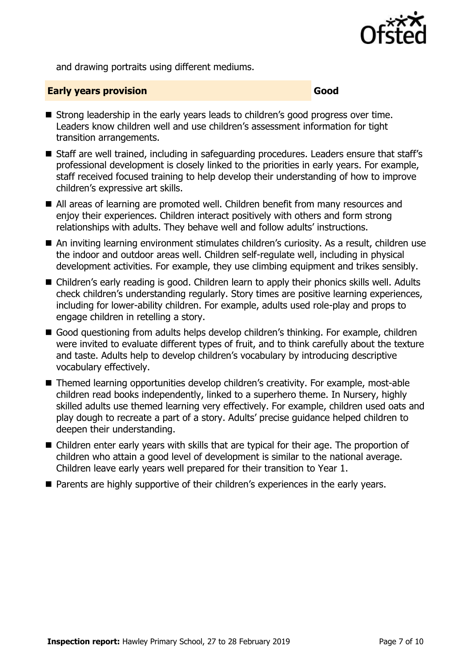

and drawing portraits using different mediums.

#### **Early years provision Good Good**

- Strong leadership in the early years leads to children's good progress over time. Leaders know children well and use children's assessment information for tight transition arrangements.
- Staff are well trained, including in safeguarding procedures. Leaders ensure that staff's professional development is closely linked to the priorities in early years. For example, staff received focused training to help develop their understanding of how to improve children's expressive art skills.
- All areas of learning are promoted well. Children benefit from many resources and enjoy their experiences. Children interact positively with others and form strong relationships with adults. They behave well and follow adults' instructions.
- An inviting learning environment stimulates children's curiosity. As a result, children use the indoor and outdoor areas well. Children self-regulate well, including in physical development activities. For example, they use climbing equipment and trikes sensibly.
- Children's early reading is good. Children learn to apply their phonics skills well. Adults check children's understanding regularly. Story times are positive learning experiences, including for lower-ability children. For example, adults used role-play and props to engage children in retelling a story.
- Good questioning from adults helps develop children's thinking. For example, children were invited to evaluate different types of fruit, and to think carefully about the texture and taste. Adults help to develop children's vocabulary by introducing descriptive vocabulary effectively.
- Themed learning opportunities develop children's creativity. For example, most-able children read books independently, linked to a superhero theme. In Nursery, highly skilled adults use themed learning very effectively. For example, children used oats and play dough to recreate a part of a story. Adults' precise guidance helped children to deepen their understanding.
- Children enter early years with skills that are typical for their age. The proportion of children who attain a good level of development is similar to the national average. Children leave early years well prepared for their transition to Year 1.
- **Parents are highly supportive of their children's experiences in the early years.**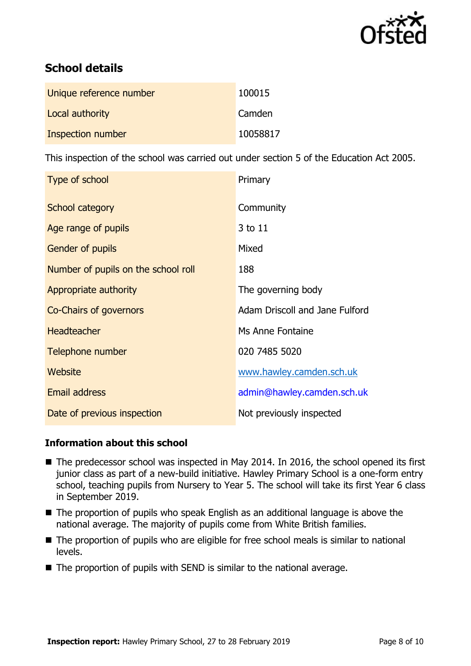

# **School details**

| Unique reference number | 100015   |
|-------------------------|----------|
| Local authority         | Camden   |
| Inspection number       | 10058817 |

This inspection of the school was carried out under section 5 of the Education Act 2005.

| Type of school                      | Primary                        |
|-------------------------------------|--------------------------------|
| School category                     | Community                      |
| Age range of pupils                 | 3 to 11                        |
| Gender of pupils                    | Mixed                          |
| Number of pupils on the school roll | 188                            |
| Appropriate authority               | The governing body             |
| <b>Co-Chairs of governors</b>       | Adam Driscoll and Jane Fulford |
| <b>Headteacher</b>                  | Ms Anne Fontaine               |
| Telephone number                    | 020 7485 5020                  |
| Website                             | www.hawley.camden.sch.uk       |
| <b>Email address</b>                | admin@hawley.camden.sch.uk     |
| Date of previous inspection         | Not previously inspected       |

#### **Information about this school**

- The predecessor school was inspected in May 2014. In 2016, the school opened its first junior class as part of a new-build initiative. Hawley Primary School is a one-form entry school, teaching pupils from Nursery to Year 5. The school will take its first Year 6 class in September 2019.
- The proportion of pupils who speak English as an additional language is above the national average. The majority of pupils come from White British families.
- The proportion of pupils who are eligible for free school meals is similar to national levels.
- $\blacksquare$  The proportion of pupils with SEND is similar to the national average.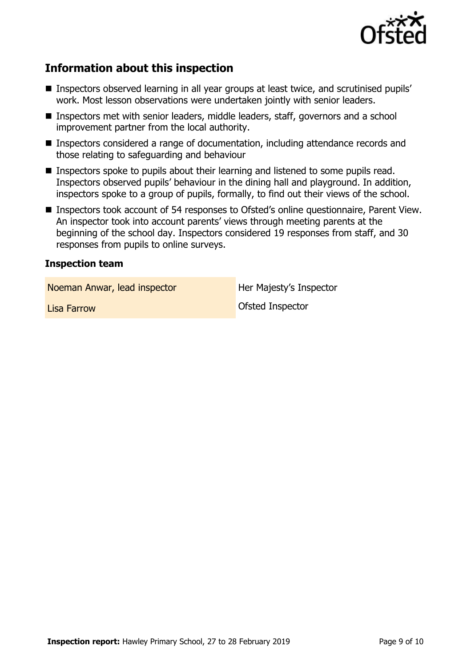

## **Information about this inspection**

- Inspectors observed learning in all year groups at least twice, and scrutinised pupils' work. Most lesson observations were undertaken jointly with senior leaders.
- Inspectors met with senior leaders, middle leaders, staff, governors and a school improvement partner from the local authority.
- Inspectors considered a range of documentation, including attendance records and those relating to safeguarding and behaviour
- Inspectors spoke to pupils about their learning and listened to some pupils read. Inspectors observed pupils' behaviour in the dining hall and playground. In addition, inspectors spoke to a group of pupils, formally, to find out their views of the school.
- Inspectors took account of 54 responses to Ofsted's online questionnaire, Parent View. An inspector took into account parents' views through meeting parents at the beginning of the school day. Inspectors considered 19 responses from staff, and 30 responses from pupils to online surveys.

#### **Inspection team**

Noeman Anwar, lead inspector **Her Majesty's Inspector** 

Lisa Farrow Ofsted Inspector